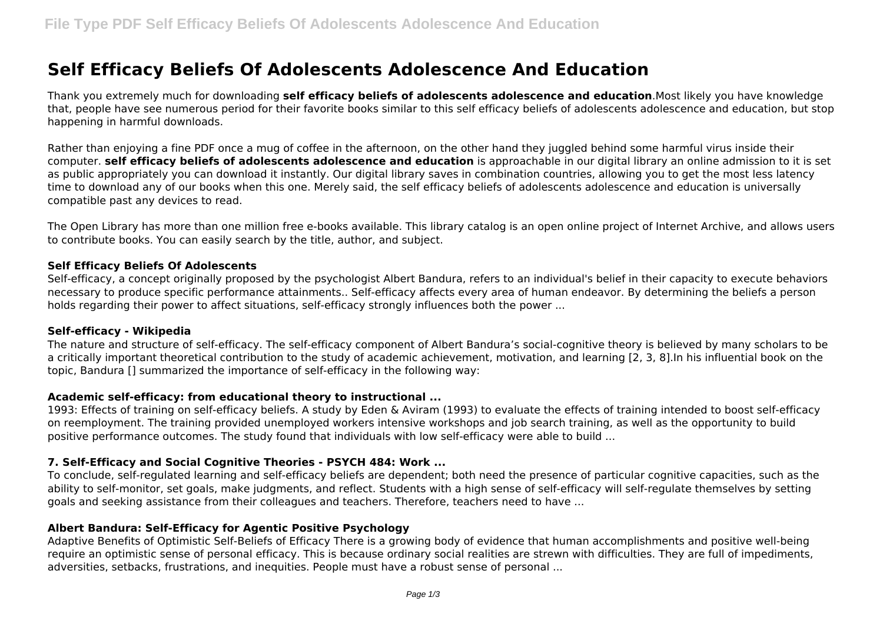# **Self Efficacy Beliefs Of Adolescents Adolescence And Education**

Thank you extremely much for downloading **self efficacy beliefs of adolescents adolescence and education**.Most likely you have knowledge that, people have see numerous period for their favorite books similar to this self efficacy beliefs of adolescents adolescence and education, but stop happening in harmful downloads.

Rather than enjoying a fine PDF once a mug of coffee in the afternoon, on the other hand they juggled behind some harmful virus inside their computer. **self efficacy beliefs of adolescents adolescence and education** is approachable in our digital library an online admission to it is set as public appropriately you can download it instantly. Our digital library saves in combination countries, allowing you to get the most less latency time to download any of our books when this one. Merely said, the self efficacy beliefs of adolescents adolescence and education is universally compatible past any devices to read.

The Open Library has more than one million free e-books available. This library catalog is an open online project of Internet Archive, and allows users to contribute books. You can easily search by the title, author, and subject.

#### **Self Efficacy Beliefs Of Adolescents**

Self-efficacy, a concept originally proposed by the psychologist Albert Bandura, refers to an individual's belief in their capacity to execute behaviors necessary to produce specific performance attainments.. Self-efficacy affects every area of human endeavor. By determining the beliefs a person holds regarding their power to affect situations, self-efficacy strongly influences both the power ...

### **Self-efficacy - Wikipedia**

The nature and structure of self-efficacy. The self-efficacy component of Albert Bandura's social-cognitive theory is believed by many scholars to be a critically important theoretical contribution to the study of academic achievement, motivation, and learning [2, 3, 8].In his influential book on the topic, Bandura [] summarized the importance of self-efficacy in the following way:

### **Academic self-efficacy: from educational theory to instructional ...**

1993: Effects of training on self-efficacy beliefs. A study by Eden & Aviram (1993) to evaluate the effects of training intended to boost self-efficacy on reemployment. The training provided unemployed workers intensive workshops and job search training, as well as the opportunity to build positive performance outcomes. The study found that individuals with low self-efficacy were able to build ...

## **7. Self-Efficacy and Social Cognitive Theories - PSYCH 484: Work ...**

To conclude, self-regulated learning and self-efficacy beliefs are dependent; both need the presence of particular cognitive capacities, such as the ability to self-monitor, set goals, make judgments, and reflect. Students with a high sense of self-efficacy will self-regulate themselves by setting goals and seeking assistance from their colleagues and teachers. Therefore, teachers need to have ...

### **Albert Bandura: Self-Efficacy for Agentic Positive Psychology**

Adaptive Benefits of Optimistic Self-Beliefs of Efficacy There is a growing body of evidence that human accomplishments and positive well-being require an optimistic sense of personal efficacy. This is because ordinary social realities are strewn with difficulties. They are full of impediments, adversities, setbacks, frustrations, and inequities. People must have a robust sense of personal ...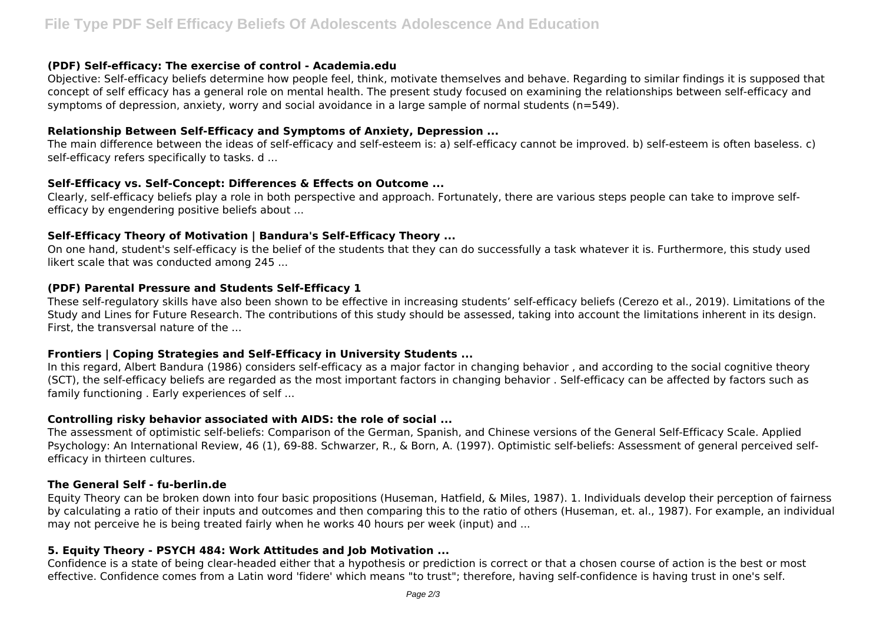### **(PDF) Self-efficacy: The exercise of control - Academia.edu**

Objective: Self-efficacy beliefs determine how people feel, think, motivate themselves and behave. Regarding to similar findings it is supposed that concept of self efficacy has a general role on mental health. The present study focused on examining the relationships between self-efficacy and symptoms of depression, anxiety, worry and social avoidance in a large sample of normal students (n=549).

## **Relationship Between Self-Efficacy and Symptoms of Anxiety, Depression ...**

The main difference between the ideas of self-efficacy and self-esteem is: a) self-efficacy cannot be improved. b) self-esteem is often baseless. c) self-efficacy refers specifically to tasks. d ...

# **Self-Efficacy vs. Self-Concept: Differences & Effects on Outcome ...**

Clearly, self-efficacy beliefs play a role in both perspective and approach. Fortunately, there are various steps people can take to improve selfefficacy by engendering positive beliefs about ...

# **Self-Efficacy Theory of Motivation | Bandura's Self-Efficacy Theory ...**

On one hand, student's self-efficacy is the belief of the students that they can do successfully a task whatever it is. Furthermore, this study used likert scale that was conducted among 245 ...

# **(PDF) Parental Pressure and Students Self-Efficacy 1**

These self-regulatory skills have also been shown to be effective in increasing students' self-efficacy beliefs (Cerezo et al., 2019). Limitations of the Study and Lines for Future Research. The contributions of this study should be assessed, taking into account the limitations inherent in its design. First, the transversal nature of the ...

# **Frontiers | Coping Strategies and Self-Efficacy in University Students ...**

In this regard, Albert Bandura (1986) considers self-efficacy as a major factor in changing behavior , and according to the social cognitive theory (SCT), the self-efficacy beliefs are regarded as the most important factors in changing behavior . Self-efficacy can be affected by factors such as family functioning . Early experiences of self ...

## **Controlling risky behavior associated with AIDS: the role of social ...**

The assessment of optimistic self-beliefs: Comparison of the German, Spanish, and Chinese versions of the General Self-Efficacy Scale. Applied Psychology: An International Review, 46 (1), 69-88. Schwarzer, R., & Born, A. (1997). Optimistic self-beliefs: Assessment of general perceived selfefficacy in thirteen cultures.

## **The General Self - fu-berlin.de**

Equity Theory can be broken down into four basic propositions (Huseman, Hatfield, & Miles, 1987). 1. Individuals develop their perception of fairness by calculating a ratio of their inputs and outcomes and then comparing this to the ratio of others (Huseman, et. al., 1987). For example, an individual may not perceive he is being treated fairly when he works 40 hours per week (input) and ...

## **5. Equity Theory - PSYCH 484: Work Attitudes and Job Motivation ...**

Confidence is a state of being clear-headed either that a hypothesis or prediction is correct or that a chosen course of action is the best or most effective. Confidence comes from a Latin word 'fidere' which means "to trust"; therefore, having self-confidence is having trust in one's self.